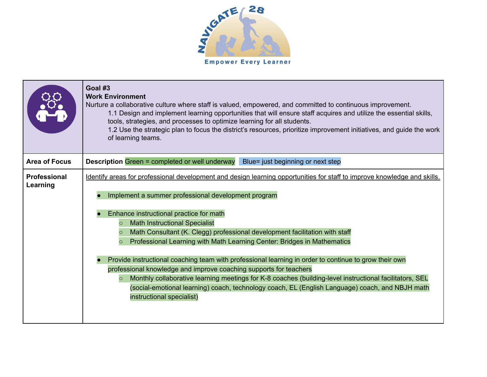

|                                 | Goal #3<br><b>Work Environment</b><br>Nurture a collaborative culture where staff is valued, empowered, and committed to continuous improvement.<br>1.1 Design and implement learning opportunities that will ensure staff acquires and utilize the essential skills,<br>tools, strategies, and processes to optimize learning for all students.<br>1.2 Use the strategic plan to focus the district's resources, prioritize improvement initiatives, and guide the work<br>of learning teams.                                                                                                                                                                                                                                                                                                                                                                                                    |
|---------------------------------|---------------------------------------------------------------------------------------------------------------------------------------------------------------------------------------------------------------------------------------------------------------------------------------------------------------------------------------------------------------------------------------------------------------------------------------------------------------------------------------------------------------------------------------------------------------------------------------------------------------------------------------------------------------------------------------------------------------------------------------------------------------------------------------------------------------------------------------------------------------------------------------------------|
| <b>Area of Focus</b>            | <b>Description Green = completed or well underway</b><br>Blue= just beginning or next step                                                                                                                                                                                                                                                                                                                                                                                                                                                                                                                                                                                                                                                                                                                                                                                                        |
| <b>Professional</b><br>Learning | Identify areas for professional development and design learning opportunities for staff to improve knowledge and skills.<br>Implement a summer professional development program<br>Enhance instructional practice for math<br><b>Math Instructional Specialist</b><br>$\circ$<br>Math Consultant (K. Clegg) professional development facilitation with staff<br>$\circ$<br>Professional Learning with Math Learning Center: Bridges in Mathematics<br>$\circ$<br>Provide instructional coaching team with professional learning in order to continue to grow their own<br>professional knowledge and improve coaching supports for teachers<br>Monthly collaborative learning meetings for K-8 coaches (building-level instructional facilitators, SEL<br>$\circ$<br>(social-emotional learning) coach, technology coach, EL (English Language) coach, and NBJH math<br>instructional specialist) |